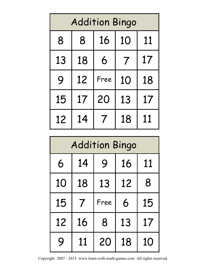| <b>Addition Bingo</b> |    |      |    |    |
|-----------------------|----|------|----|----|
| 8                     | 8  | 16   | 10 | 11 |
| 13                    | 18 | 6    | 7  | 17 |
| 9                     | 12 | Free | 10 | 18 |
| 15                    | 17 | 20   | 13 | 17 |
| 12                    | 14 |      | 18 | 11 |

| <b>Addition Bingo</b> |    |      |    |    |
|-----------------------|----|------|----|----|
| 6                     | 14 | 9    | 16 | 11 |
| 10                    | 18 | 13   | 12 | 8  |
| 15                    | 7  | Free | 6  | 15 |
| 12                    | 16 | 8    | 13 | 17 |
| 9                     | 11 | 20   | 18 | 10 |

Copyright 2007 - 2013 www.learn-with-math-games.com All rights reserved.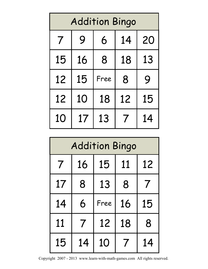| <b>Addition Bingo</b> |    |      |    |    |
|-----------------------|----|------|----|----|
| 7                     | 9  | 6    | 14 | 20 |
| 15                    | 16 | 8    | 18 | 13 |
| 12                    | 15 | Free | 8  | 9  |
| 12                    | 10 | 18   | 12 | 15 |
| 10                    | 17 | 13   |    | 14 |

| <b>Addition Bingo</b>    |    |      |    |    |
|--------------------------|----|------|----|----|
| $\overline{\mathcal{I}}$ | 16 | 15   | 11 | 12 |
| 17                       | 8  | 13   | 8  |    |
| 14                       | 6  | Free | 16 | 15 |
| 11                       | 7  | 12   | 18 | 8  |
| 15                       | 14 | 10   |    | 14 |

Copyright 2007 - 2013 www.learn-with-math-games.com All rights reserved.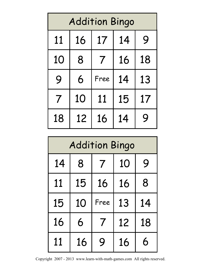| <b>Addition Bingo</b> |    |      |    |    |
|-----------------------|----|------|----|----|
| 11                    | 16 | 17   | 14 | 9  |
| 10                    | 8  | 7    | 16 | 18 |
| 9                     | 6  | Free | 14 | 13 |
| 7                     | 10 | 11   | 15 | 17 |
| 18                    | 12 | 16   | 14 | Q  |

| <b>Addition Bingo</b> |    |                  |    |    |  |
|-----------------------|----|------------------|----|----|--|
| 14                    | 8  | $\boldsymbol{7}$ | 10 | 9  |  |
| 11                    | 15 | 16               | 16 | 8  |  |
| 15                    | 10 | Free             | 13 | 14 |  |
| 16                    | 6  | $\boldsymbol{7}$ | 12 | 18 |  |
| 11                    | 16 | Q                | 16 | 6  |  |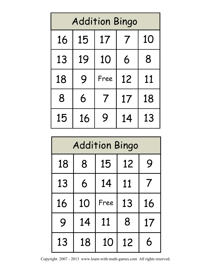| <b>Addition Bingo</b> |    |                |    |    |
|-----------------------|----|----------------|----|----|
| 16                    | 15 | 17             |    | 10 |
| 13                    | 19 | 10             | 6  | 8  |
| 18                    | 9  | Free           | 12 | 11 |
| 8                     | 6  | $\overline{7}$ | 17 | 18 |
| 15                    | 16 | 9              | 14 | 13 |

| <b>Addition Bingo</b> |    |      |    |    |
|-----------------------|----|------|----|----|
| 18                    | 8  | 15   | 12 | 9  |
| 13                    | 6  | 14   | 11 | 7  |
| 16                    | 10 | Free | 13 | 16 |
| 9                     | 14 | 11   | 8  | 17 |
| 13                    | 18 | 10   | 12 | 6  |

Copyright 2007 - 2013 www.learn-with-math-games.com All rights reserved.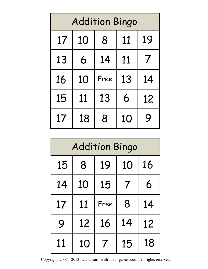| <b>Addition Bingo</b> |    |      |    |                         |
|-----------------------|----|------|----|-------------------------|
| 17                    | 10 | 8    | 11 | 19                      |
| 13                    | 6  | 14   | 11 | $\overline{\mathbf{7}}$ |
| 16                    | 10 | Free | 13 | 14                      |
| 15                    | 11 | 13   | 6  | 12                      |
| 17                    | 18 | 8    | 10 | <b>Q</b>                |

| <b>Addition Bingo</b> |    |      |    |    |
|-----------------------|----|------|----|----|
| 15                    | 8  | 19   | 10 | 16 |
| 14                    | 10 | 15   | 7  | 6  |
| 17                    | 11 | Free | 8  | 14 |
| 9                     | 12 | 16   | 14 | 12 |
| 11                    | 10 |      | 15 | 18 |

Copyright 2007 - 2013 www.learn-with-math-games.com All rights reserved.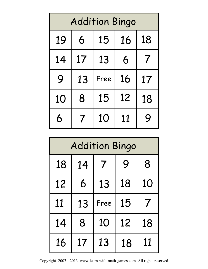| <b>Addition Bingo</b> |                  |      |    |                  |
|-----------------------|------------------|------|----|------------------|
| 19                    | 6                | 15   | 16 | 18               |
| 14                    | 17               | 13   | 6  | $\boldsymbol{7}$ |
| 9                     | 13               | Free | 16 | 17               |
| 10                    | 8                | 15   | 12 | 18               |
| 6                     | $\boldsymbol{I}$ | 10   | 11 | Q                |

| <b>Addition Bingo</b> |    |                |    |                          |
|-----------------------|----|----------------|----|--------------------------|
| 18                    | 14 | $\overline{I}$ | 9  | 8                        |
| 12                    | 6  | 13             | 18 | 10                       |
| 11                    | 13 | Free           | 15 | $\overline{\phantom{a}}$ |
| 14                    | 8  | 10             | 12 | 18                       |
| 16                    | 17 | 13             | 18 | 11                       |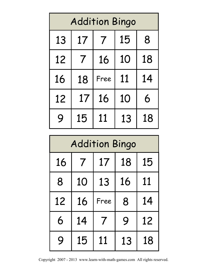| <b>Addition Bingo</b> |                  |                |    |    |  |
|-----------------------|------------------|----------------|----|----|--|
| 13                    | 17               | $\overline{I}$ | 15 | 8  |  |
| 12                    | $\boldsymbol{7}$ | 16             | 10 | 18 |  |
| 16                    | 18               | Free           | 11 | 14 |  |
| 12                    | 17               | 16             | 10 | 6  |  |
| 9                     | 15               | 11             | 13 | 18 |  |

| <b>Addition Bingo</b> |                |                          |    |    |  |
|-----------------------|----------------|--------------------------|----|----|--|
| 16                    | $\overline{I}$ | 17                       | 18 | 15 |  |
| 8                     | 10             | 13                       | 16 | 11 |  |
| 12                    | 16             | Free                     | 8  | 14 |  |
| 6                     | 14             | $\overline{\mathcal{I}}$ | 9  | 12 |  |
| 9                     | 15             | 11                       | 13 | 18 |  |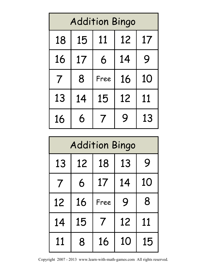| <b>Addition Bingo</b> |    |      |    |    |  |
|-----------------------|----|------|----|----|--|
| 18                    | 15 | 11   | 12 | 17 |  |
| 16                    | 17 | 6    | 14 | 9  |  |
| $\overline{I}$        | 8  | Free | 16 | 10 |  |
| 13                    | 14 | 15   | 12 | 11 |  |
| 16                    | 6  |      | 9  | 13 |  |

| <b>Addition Bingo</b>     |    |                         |    |    |  |
|---------------------------|----|-------------------------|----|----|--|
| 18<br>9<br>13<br>13<br>12 |    |                         |    |    |  |
| $\overline{I}$            | 6  | 17                      | 14 | 10 |  |
| 12                        | 16 | Free                    | 9  | 8  |  |
| 14                        | 15 | $\overline{\mathbf{7}}$ | 12 | 11 |  |
| 11                        | 8  | 16                      | 10 | 15 |  |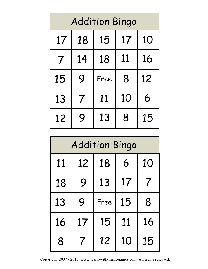| <b>Addition Bingo</b> |    |      |    |    |  |
|-----------------------|----|------|----|----|--|
| 17                    | 18 | 15   | 17 | 10 |  |
| 7                     | 14 | 18   | 11 | 16 |  |
| 15                    | 9  | Free | 8  | 12 |  |
| 13                    | 7  | 11   | 10 | 6  |  |
| 12                    | 9  | 13   | 8  | 15 |  |

| <b>Addition Bingo</b> |                     |      |    |    |  |
|-----------------------|---------------------|------|----|----|--|
| 11                    | 6<br>10<br>18<br>12 |      |    |    |  |
| 18                    | 9                   | 13   | 17 | 7  |  |
| 13                    | 9                   | Free | 15 | 8  |  |
| 16                    | 17                  | 15   | 11 | 16 |  |
| 8                     |                     | 12   | 10 | 15 |  |